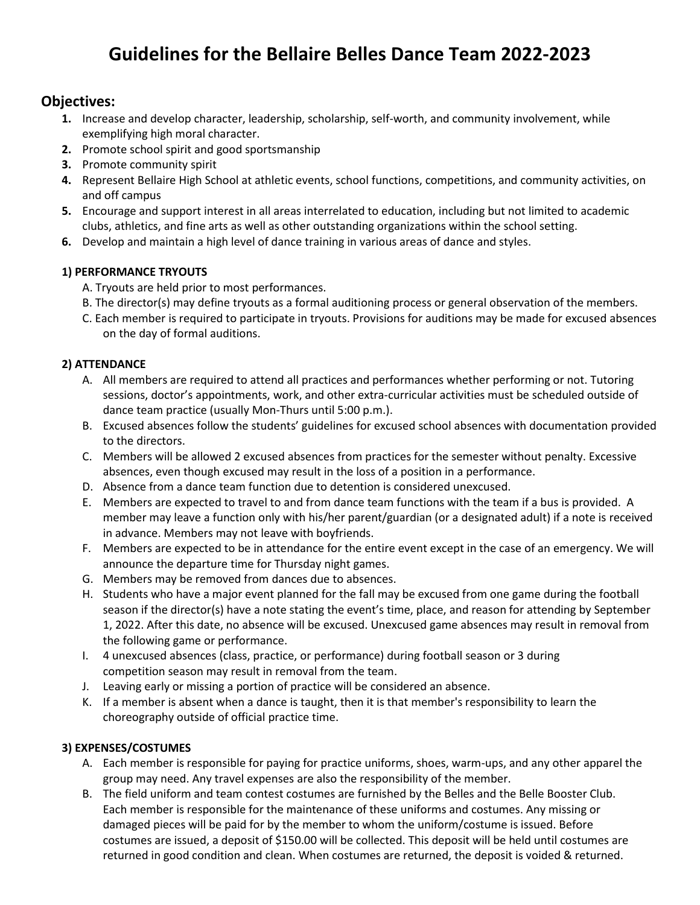# **Guidelines for the Bellaire Belles Dance Team 2022-2023**

## **Objectives:**

- **1.** Increase and develop character, leadership, scholarship, self-worth, and community involvement, while exemplifying high moral character.
- **2.** Promote school spirit and good sportsmanship
- **3.** Promote community spirit
- **4.** Represent Bellaire High School at athletic events, school functions, competitions, and community activities, on and off campus
- **5.** Encourage and support interest in all areas interrelated to education, including but not limited to academic clubs, athletics, and fine arts as well as other outstanding organizations within the school setting.
- **6.** Develop and maintain a high level of dance training in various areas of dance and styles.

#### **1) PERFORMANCE TRYOUTS**

- A. Tryouts are held prior to most performances.
- B. The director(s) may define tryouts as a formal auditioning process or general observation of the members.
- C. Each member is required to participate in tryouts. Provisions for auditions may be made for excused absences on the day of formal auditions.

#### **2) ATTENDANCE**

- A. All members are required to attend all practices and performances whether performing or not. Tutoring sessions, doctor's appointments, work, and other extra-curricular activities must be scheduled outside of dance team practice (usually Mon-Thurs until 5:00 p.m.).
- B. Excused absences follow the students' guidelines for excused school absences with documentation provided to the directors.
- C. Members will be allowed 2 excused absences from practices for the semester without penalty. Excessive absences, even though excused may result in the loss of a position in a performance.
- D. Absence from a dance team function due to detention is considered unexcused.
- E. Members are expected to travel to and from dance team functions with the team if a bus is provided. A member may leave a function only with his/her parent/guardian (or a designated adult) if a note is received in advance. Members may not leave with boyfriends.
- F. Members are expected to be in attendance for the entire event except in the case of an emergency. We will announce the departure time for Thursday night games.
- G. Members may be removed from dances due to absences.
- H. Students who have a major event planned for the fall may be excused from one game during the football season if the director(s) have a note stating the event's time, place, and reason for attending by September 1, 2022. After this date, no absence will be excused. Unexcused game absences may result in removal from the following game or performance.
- I. 4 unexcused absences (class, practice, or performance) during football season or 3 during competition season may result in removal from the team.
- J. Leaving early or missing a portion of practice will be considered an absence.
- K. If a member is absent when a dance is taught, then it is that member's responsibility to learn the choreography outside of official practice time.

#### **3) EXPENSES/COSTUMES**

- A. Each member is responsible for paying for practice uniforms, shoes, warm-ups, and any other apparel the group may need. Any travel expenses are also the responsibility of the member.
- B. The field uniform and team contest costumes are furnished by the Belles and the Belle Booster Club. Each member is responsible for the maintenance of these uniforms and costumes. Any missing or damaged pieces will be paid for by the member to whom the uniform/costume is issued. Before costumes are issued, a deposit of \$150.00 will be collected. This deposit will be held until costumes are returned in good condition and clean. When costumes are returned, the deposit is voided & returned.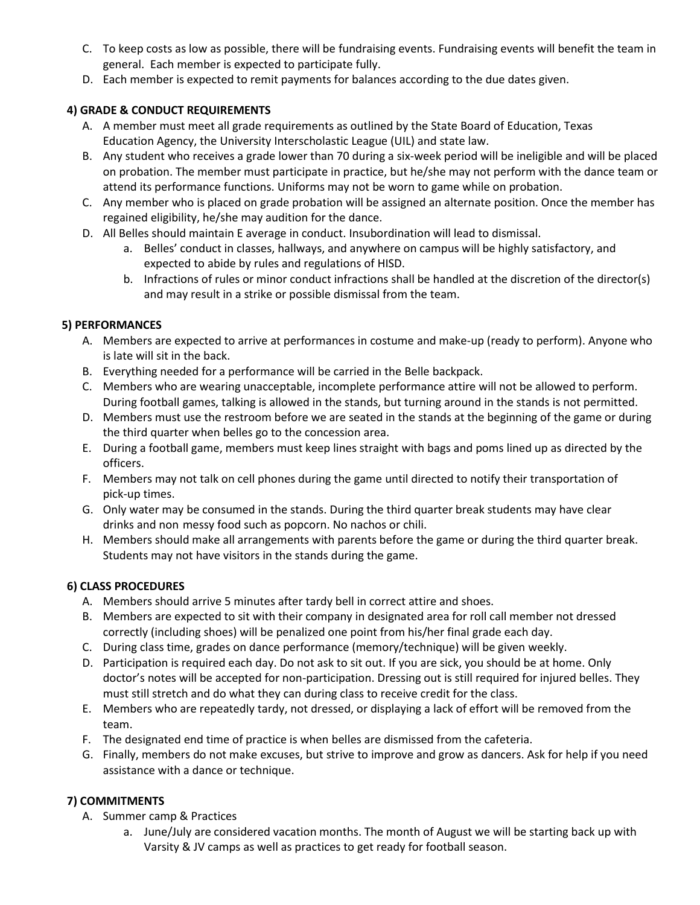- C. To keep costs as low as possible, there will be fundraising events. Fundraising events will benefit the team in general. Each member is expected to participate fully.
- D. Each member is expected to remit payments for balances according to the due dates given.

#### **4) GRADE & CONDUCT REQUIREMENTS**

- A. A member must meet all grade requirements as outlined by the State Board of Education, Texas Education Agency, the University Interscholastic League (UIL) and state law.
- B. Any student who receives a grade lower than 70 during a six-week period will be ineligible and will be placed on probation. The member must participate in practice, but he/she may not perform with the dance team or attend its performance functions. Uniforms may not be worn to game while on probation.
- C. Any member who is placed on grade probation will be assigned an alternate position. Once the member has regained eligibility, he/she may audition for the dance.
- D. All Belles should maintain E average in conduct. Insubordination will lead to dismissal.
	- a. Belles' conduct in classes, hallways, and anywhere on campus will be highly satisfactory, and expected to abide by rules and regulations of HISD.
	- b. Infractions of rules or minor conduct infractions shall be handled at the discretion of the director(s) and may result in a strike or possible dismissal from the team.

#### **5) PERFORMANCES**

- A. Members are expected to arrive at performances in costume and make-up (ready to perform). Anyone who is late will sit in the back.
- B. Everything needed for a performance will be carried in the Belle backpack.
- C. Members who are wearing unacceptable, incomplete performance attire will not be allowed to perform. During football games, talking is allowed in the stands, but turning around in the stands is not permitted.
- D. Members must use the restroom before we are seated in the stands at the beginning of the game or during the third quarter when belles go to the concession area.
- E. During a football game, members must keep lines straight with bags and poms lined up as directed by the officers.
- F. Members may not talk on cell phones during the game until directed to notify their transportation of pick-up times.
- G. Only water may be consumed in the stands. During the third quarter break students may have clear drinks and non-messy food such as popcorn. No nachos or chili.
- H. Members should make all arrangements with parents before the game or during the third quarter break. Students may not have visitors in the stands during the game.

#### **6) CLASS PROCEDURES**

- A. Members should arrive 5 minutes after tardy bell in correct attire and shoes.
- B. Members are expected to sit with their company in designated area for roll call member not dressed correctly (including shoes) will be penalized one point from his/her final grade each day.
- C. During class time, grades on dance performance (memory/technique) will be given weekly.
- D. Participation is required each day. Do not ask to sit out. If you are sick, you should be at home. Only doctor's notes will be accepted for non-participation. Dressing out is still required for injured belles. They must still stretch and do what they can during class to receive credit for the class.
- E. Members who are repeatedly tardy, not dressed, or displaying a lack of effort will be removed from the team.
- F. The designated end time of practice is when belles are dismissed from the cafeteria.
- G. Finally, members do not make excuses, but strive to improve and grow as dancers. Ask for help if you need assistance with a dance or technique.

### **7) COMMITMENTS**

- A. Summer camp & Practices
	- a. June/July are considered vacation months. The month of August we will be starting back up with Varsity & JV camps as well as practices to get ready for football season.